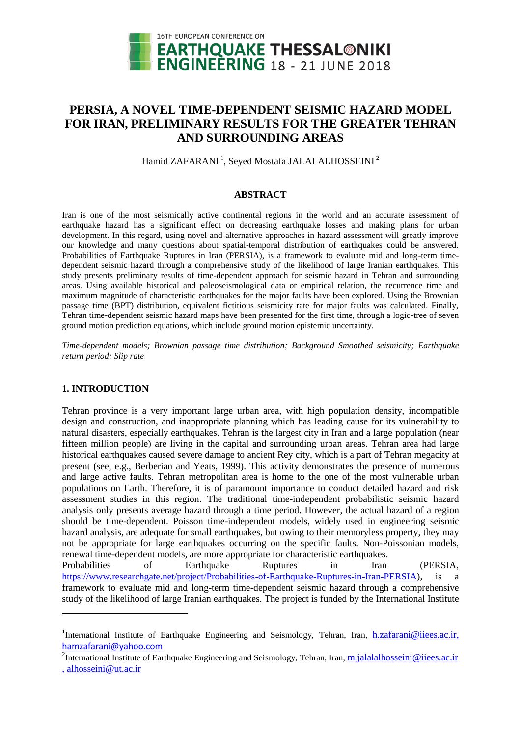

# **PERSIA, A NOVEL TIME-DEPENDENT SEISMIC HAZARD MODEL FOR IRAN, PRELIMINARY RESULTS FOR THE GREATER TEHRAN AND SURROUNDING AREAS**

Hamid ZAFARANI<sup>1</sup>, Seyed Mostafa JALALALHOSSEINI<sup>2</sup>

### **ABSTRACT**

Iran is one of the most seismically active continental regions in the world and an accurate assessment of earthquake hazard has a significant effect on decreasing earthquake losses and making plans for urban development. In this regard, using novel and alternative approaches in hazard assessment will greatly improve our knowledge and many questions about spatial-temporal distribution of earthquakes could be answered. Probabilities of Earthquake Ruptures in Iran (PERSIA), is a framework to evaluate mid and long-term timedependent seismic hazard through a comprehensive study of the likelihood of large Iranian earthquakes. This study presents preliminary results of time-dependent approach for seismic hazard in Tehran and surrounding areas. Using available historical and paleoseismological data or empirical relation, the recurrence time and maximum magnitude of characteristic earthquakes for the major faults have been explored. Using the Brownian passage time (BPT) distribution, equivalent fictitious seismicity rate for major faults was calculated. Finally, Tehran time-dependent seismic hazard maps have been presented for the first time, through a logic-tree of seven ground motion prediction equations, which include ground motion epistemic uncertainty.

*Time-dependent models; Brownian passage time distribution; Background Smoothed seismicity; Earthquake return period; Slip rate*

# **1. INTRODUCTION**

Tehran province is a very important large urban area, with high population density, incompatible design and construction, and inappropriate planning which has leading cause for its vulnerability to natural disasters, especially earthquakes. Tehran is the largest city in Iran and a large population (near fifteen million people) are living in the capital and surrounding urban areas. Tehran area had large historical earthquakes caused severe damage to ancient Rey city, which is a part of Tehran megacity at present (see, e.g., Berberian and Yeats, 1999). This activity demonstrates the presence of numerous and large active faults. Tehran metropolitan area is home to the one of the most vulnerable urban populations on Earth. Therefore, it is of paramount importance to conduct detailed hazard and risk assessment studies in this region. The traditional time-independent probabilistic seismic hazard analysis only presents average hazard through a time period. However, the actual hazard of a region should be time-dependent. Poisson time-independent models, widely used in engineering seismic hazard analysis, are adequate for small earthquakes, but owing to their memoryless property, they may not be appropriate for large earthquakes occurring on the specific faults. Non-Poissonian models, renewal time-dependent models, are more appropriate for characteristic earthquakes.

Probabilities of Earthquake Ruptures in Iran (PERSIA, [https://www.researchgate.net/project/Probabilities-of-Earthquake-Ruptures-in-Iran-PERSIA\)](https://www.researchgate.net/project/Probabilities-of-Earthquake-Ruptures-in-Iran-PERSIA), is a framework to evaluate mid and long-term time-dependent seismic hazard through a comprehensive study of the likelihood of large Iranian earthquakes. The project is funded by the International Institute

l

<sup>&</sup>lt;sup>1</sup>International Institute of Earthquake Engineering and Seismology, Tehran, Iran, **h.zafarani@iiees.ac.ir**, hamzafarani@yahoo.com

<sup>&</sup>lt;sup>2</sup>International Institute of Earthquake Engineering and Seismology, Tehran, Iran, *[m.jalalalhosseini@iiees.ac.ir](mailto:m.jalalalhosseini@iiees.ac.ir)* 

<sup>,</sup> alhosseini@ut.ac.ir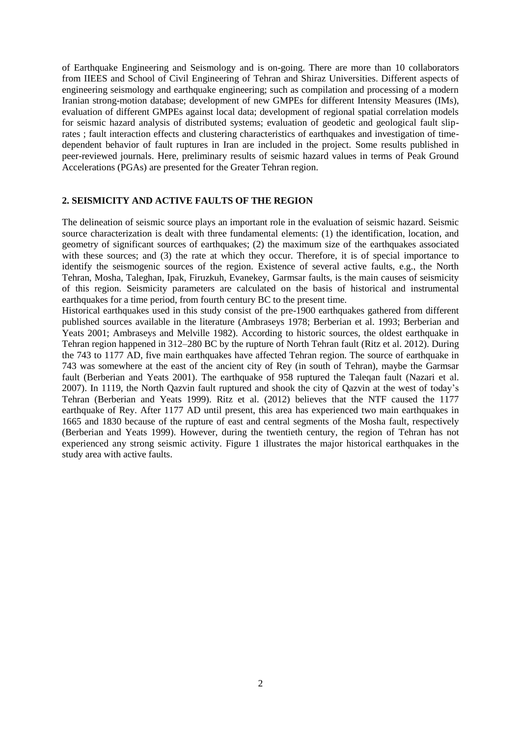of Earthquake Engineering and Seismology and is on-going. There are more than 10 collaborators from IIEES and School of Civil Engineering of Tehran and Shiraz Universities. Different aspects of engineering seismology and earthquake engineering; such as compilation and processing of a modern Iranian strong-motion database; development of new GMPEs for different Intensity Measures (IMs), evaluation of different GMPEs against local data; development of regional spatial correlation models for seismic hazard analysis of distributed systems; evaluation of geodetic and geological fault sliprates ; fault interaction effects and clustering characteristics of earthquakes and investigation of timedependent behavior of fault ruptures in Iran are included in the project. Some results published in peer-reviewed journals. Here, preliminary results of seismic hazard values in terms of Peak Ground Accelerations (PGAs) are presented for the Greater Tehran region.

## **2. SEISMICITY AND ACTIVE FAULTS OF THE REGION**

The delineation of seismic source plays an important role in the evaluation of seismic hazard. Seismic source characterization is dealt with three fundamental elements: (1) the identification, location, and geometry of significant sources of earthquakes; (2) the maximum size of the earthquakes associated with these sources; and (3) the rate at which they occur. Therefore, it is of special importance to identify the seismogenic sources of the region. Existence of several active faults, e.g., the North Tehran, Mosha, Taleghan, Ipak, Firuzkuh, Evanekey, Garmsar faults, is the main causes of seismicity of this region. Seismicity parameters are calculated on the basis of historical and instrumental earthquakes for a time period, from fourth century BC to the present time.

Historical earthquakes used in this study consist of the pre-1900 earthquakes gathered from different published sources available in the literature (Ambraseys 1978; Berberian et al. 1993; Berberian and Yeats 2001; Ambraseys and Melville 1982). According to historic sources, the oldest earthquake in Tehran region happened in 312–280 BC by the rupture of North Tehran fault (Ritz et al. 2012). During the 743 to 1177 AD, five main earthquakes have affected Tehran region. The source of earthquake in 743 was somewhere at the east of the ancient city of Rey (in south of Tehran), maybe the Garmsar fault (Berberian and Yeats 2001). The earthquake of 958 ruptured the Taleqan fault (Nazari et al. 2007). In 1119, the North Qazvin fault ruptured and shook the city of Qazvin at the west of today's Tehran (Berberian and Yeats 1999). Ritz et al. (2012) believes that the NTF caused the 1177 earthquake of Rey. After 1177 AD until present, this area has experienced two main earthquakes in 1665 and 1830 because of the rupture of east and central segments of the Mosha fault, respectively (Berberian and Yeats 1999). However, during the twentieth century, the region of Tehran has not experienced any strong seismic activity. Figure 1 illustrates the major historical earthquakes in the study area with active faults.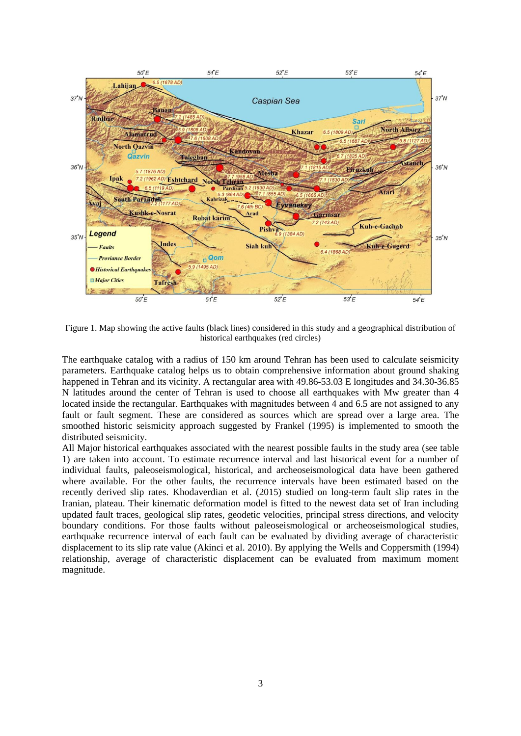

Figure 1. Map showing the active faults (black lines) considered in this study and a geographical distribution of historical earthquakes (red circles)

The earthquake catalog with a radius of 150 km around Tehran has been used to calculate seismicity parameters. Earthquake catalog helps us to obtain comprehensive information about ground shaking happened in Tehran and its vicinity. A rectangular area with 49.86-53.03 E longitudes and 34.30-36.85 N latitudes around the center of Tehran is used to choose all earthquakes with Mw greater than 4 located inside the rectangular. Earthquakes with magnitudes between 4 and 6.5 are not assigned to any fault or fault segment. These are considered as sources which are spread over a large area. The smoothed historic seismicity approach suggested by Frankel (1995) is implemented to smooth the distributed seismicity.

All Major historical earthquakes associated with the nearest possible faults in the study area (see table 1) are taken into account. To estimate recurrence interval and last historical event for a number of individual faults, paleoseismological, historical, and archeoseismological data have been gathered where available. For the other faults, the recurrence intervals have been estimated based on the recently derived slip rates. Khodaverdian et al. (2015) studied on long-term fault slip rates in the Iranian, plateau. Their kinematic deformation model is fitted to the newest data set of Iran including updated fault traces, geological slip rates, geodetic velocities, principal stress directions, and velocity boundary conditions. For those faults without paleoseismological or archeoseismological studies, earthquake recurrence interval of each fault can be evaluated by dividing average of characteristic displacement to its slip rate value (Akinci et al. 2010). By applying the Wells and Coppersmith (1994) relationship, average of characteristic displacement can be evaluated from maximum moment magnitude.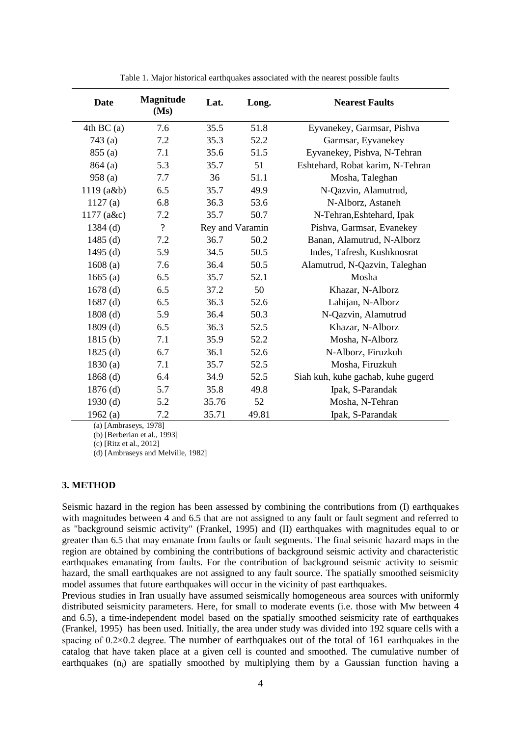| <b>Date</b>  | <b>Magnitude</b><br>(Ms) | Lat.            | Long. | <b>Nearest Faults</b>              |
|--------------|--------------------------|-----------------|-------|------------------------------------|
| 4th BC(a)    | 7.6                      | 35.5            | 51.8  | Eyvanekey, Garmsar, Pishva         |
| 743(a)       | 7.2                      | 35.3            | 52.2  | Garmsar, Eyvanekey                 |
| 855(a)       | 7.1                      | 35.6            | 51.5  | Eyvanekey, Pishva, N-Tehran        |
| 864(a)       | 5.3                      | 35.7            | 51    | Eshtehard, Robat karim, N-Tehran   |
| 958(a)       | 7.7                      | 36              | 51.1  | Mosha, Taleghan                    |
| $1119$ (a&b) | 6.5                      | 35.7            | 49.9  | N-Qazvin, Alamutrud,               |
| 1127(a)      | 6.8                      | 36.3            | 53.6  | N-Alborz, Astaneh                  |
| $1177$ (a&c) | 7.2                      | 35.7            | 50.7  | N-Tehran, Eshtehard, Ipak          |
| $1384$ (d)   | $\overline{?}$           | Rey and Varamin |       | Pishva, Garmsar, Evanekey          |
| $1485$ (d)   | 7.2                      | 36.7            | 50.2  | Banan, Alamutrud, N-Alborz         |
| 1495 $(d)$   | 5.9                      | 34.5            | 50.5  | Indes, Tafresh, Kushknosrat        |
| 1608(a)      | 7.6                      | 36.4            | 50.5  | Alamutrud, N-Qazvin, Taleghan      |
| 1665(a)      | 6.5                      | 35.7            | 52.1  | Mosha                              |
| $1678$ (d)   | 6.5                      | 37.2            | 50    | Khazar, N-Alborz                   |
| $1687$ (d)   | 6.5                      | 36.3            | 52.6  | Lahijan, N-Alborz                  |
| $1808$ (d)   | 5.9                      | 36.4            | 50.3  | N-Qazvin, Alamutrud                |
| $1809$ (d)   | 6.5                      | 36.3            | 52.5  | Khazar, N-Alborz                   |
| 1815(b)      | 7.1                      | 35.9            | 52.2  | Mosha, N-Alborz                    |
| 1825(d)      | 6.7                      | 36.1            | 52.6  | N-Alborz, Firuzkuh                 |
| 1830(a)      | 7.1                      | 35.7            | 52.5  | Mosha, Firuzkuh                    |
| $1868$ (d)   | 6.4                      | 34.9            | 52.5  | Siah kuh, kuhe gachab, kuhe gugerd |
| $1876$ (d)   | 5.7                      | 35.8            | 49.8  | Ipak, S-Parandak                   |
| $1930$ (d)   | 5.2                      | 35.76           | 52    | Mosha, N-Tehran                    |
| 1962(a)      | 7.2                      | 35.71           | 49.81 | Ipak, S-Parandak                   |

Table 1. Major historical earthquakes associated with the nearest possible faults

(a) [Ambraseys, 1978]

(b) [Berberian et al., 1993]

(c) [Ritz et al., 2012]

(d) [Ambraseys and Melville, 1982]

#### **3. METHOD**

Seismic hazard in the region has been assessed by combining the contributions from (I) earthquakes with magnitudes between 4 and 6.5 that are not assigned to any fault or fault segment and referred to as "background seismic activity" (Frankel, 1995) and (II) earthquakes with magnitudes equal to or greater than 6.5 that may emanate from faults or fault segments. The final seismic hazard maps in the region are obtained by combining the contributions of background seismic activity and characteristic earthquakes emanating from faults. For the contribution of background seismic activity to seismic hazard, the small earthquakes are not assigned to any fault source. The spatially smoothed seismicity model assumes that future earthquakes will occur in the vicinity of past earthquakes.

Previous studies in Iran usually have assumed seismically homogeneous area sources with uniformly distributed seismicity parameters. Here, for small to moderate events (i.e. those with Mw between 4 and 6.5), a time-independent model based on the spatially smoothed seismicity rate of earthquakes (Frankel, 1995) has been used. Initially, the area under study was divided into 192 square cells with a spacing of  $0.2 \times 0.2$  degree. The number of earthquakes out of the total of 161 earthquakes in the catalog that have taken place at a given cell is counted and smoothed. The cumulative number of earthquakes  $(n_i)$  are spatially smoothed by multiplying them by a Gaussian function having a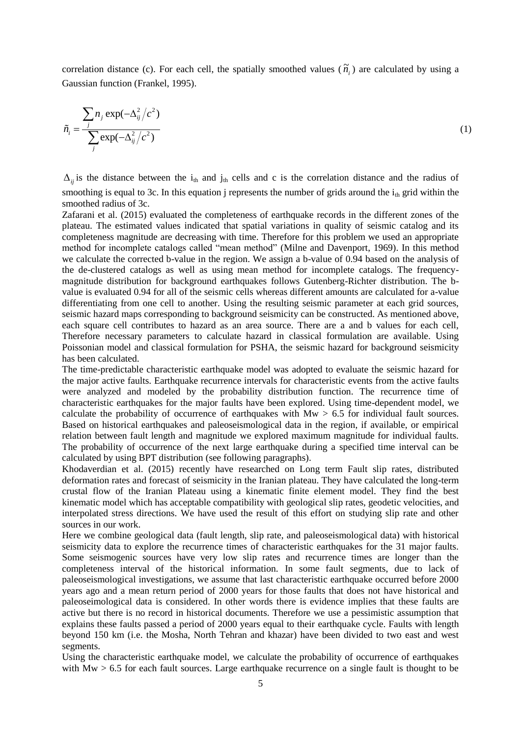correlation distance (c). For each cell, the spatially smoothed values  $(\tilde{n}_i)$  are calculated by using a Gaussian function (Frankel, 1995).

$$
\tilde{n}_i = \frac{\sum_j n_j \exp(-\Delta_{ij}^2/c^2)}{\sum_j \exp(-\Delta_{ij}^2/c^2)}
$$
\n(1)

 $\Delta_{ij}$  is the distance between the i<sub>th</sub> and j<sub>th</sub> cells and c is the correlation distance and the radius of smoothing is equal to 3c. In this equation j represents the number of grids around the  $i<sub>th</sub>$  grid within the smoothed radius of 3c.

Zafarani et al. (2015) evaluated the completeness of earthquake records in the different zones of the plateau. The estimated values indicated that spatial variations in quality of seismic catalog and its completeness magnitude are decreasing with time. Therefore for this problem we used an appropriate method for incomplete catalogs called "mean method" (Milne and Davenport, 1969). In this method we calculate the corrected b-value in the region. We assign a b-value of 0.94 based on the analysis of the de-clustered catalogs as well as using mean method for incomplete catalogs. The frequencymagnitude distribution for background earthquakes follows Gutenberg-Richter distribution. The bvalue is evaluated 0.94 for all of the seismic cells whereas different amounts are calculated for a-value differentiating from one cell to another. Using the resulting seismic parameter at each grid sources, seismic hazard maps corresponding to background seismicity can be constructed. As mentioned above, each square cell contributes to hazard as an area source. There are a and b values for each cell, Therefore necessary parameters to calculate hazard in classical formulation are available. Using Poissonian model and classical formulation for PSHA, the seismic hazard for background seismicity has been calculated.

The time-predictable characteristic earthquake model was adopted to evaluate the seismic hazard for the major active faults. Earthquake recurrence intervals for characteristic events from the active faults were analyzed and modeled by the probability distribution function. The recurrence time of characteristic earthquakes for the major faults have been explored. Using time-dependent model, we calculate the probability of occurrence of earthquakes with  $Mw > 6.5$  for individual fault sources. Based on historical earthquakes and paleoseismological data in the region, if available, or empirical relation between fault length and magnitude we explored maximum magnitude for individual faults. The probability of occurrence of the next large earthquake during a specified time interval can be calculated by using BPT distribution (see following paragraphs).

Khodaverdian et al. (2015) recently have researched on Long term Fault slip rates, distributed deformation rates and forecast of seismicity in the Iranian plateau. They have calculated the long-term crustal flow of the Iranian Plateau using a kinematic finite element model. They find the best kinematic model which has acceptable compatibility with geological slip rates, geodetic velocities, and interpolated stress directions. We have used the result of this effort on studying slip rate and other sources in our work.

Here we combine geological data (fault length, slip rate, and paleoseismological data) with historical seismicity data to explore the recurrence times of characteristic earthquakes for the 31 major faults. Some seismogenic sources have very low slip rates and recurrence times are longer than the completeness interval of the historical information. In some fault segments, due to lack of paleoseismological investigations, we assume that last characteristic earthquake occurred before 2000 years ago and a mean return period of 2000 years for those faults that does not have historical and paleoseimological data is considered. In other words there is evidence implies that these faults are active but there is no record in historical documents. Therefore we use a pessimistic assumption that explains these faults passed a period of 2000 years equal to their earthquake cycle. Faults with length beyond 150 km (i.e. the Mosha, North Tehran and khazar) have been divided to two east and west segments.

Using the characteristic earthquake model, we calculate the probability of occurrence of earthquakes with  $Mw > 6.5$  for each fault sources. Large earthquake recurrence on a single fault is thought to be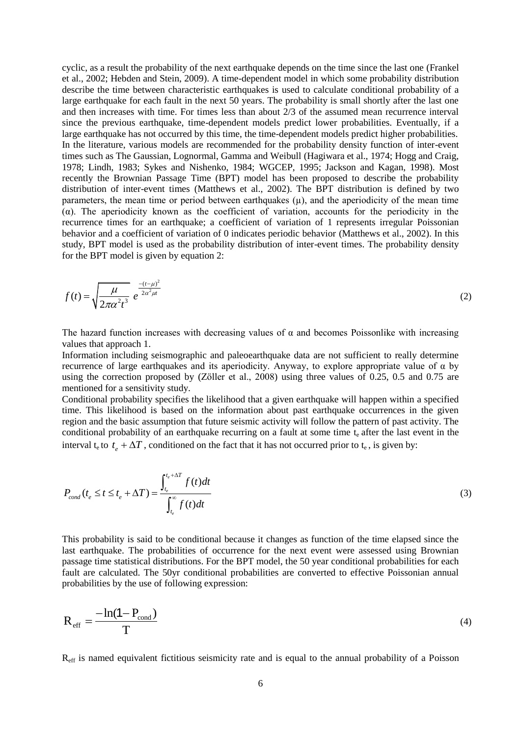cyclic, as a result the probability of the next earthquake depends on the time since the last one (Frankel et al., 2002; Hebden and Stein, 2009). A time-dependent model in which some probability distribution describe the time between characteristic earthquakes is used to calculate conditional probability of a large earthquake for each fault in the next 50 years. The probability is small shortly after the last one and then increases with time. For times less than about 2/3 of the assumed mean recurrence interval since the previous earthquake, time-dependent models predict lower probabilities. Eventually, if a large earthquake has not occurred by this time, the time-dependent models predict higher probabilities. In the literature, various models are recommended for the probability density function of inter-event times such as The Gaussian, Lognormal, Gamma and Weibull (Hagiwara et al., 1974; Hogg and Craig, 1978; Lindh, 1983; Sykes and Nishenko, 1984; WGCEP, 1995; Jackson and Kagan, 1998). Most recently the Brownian Passage Time (BPT) model has been proposed to describe the probability distribution of inter-event times (Matthews et al., 2002). The BPT distribution is defined by two parameters, the mean time or period between earthquakes  $(\mu)$ , and the aperiodicity of the mean time (α). The aperiodicity known as the coefficient of variation, accounts for the periodicity in the recurrence times for an earthquake; a coefficient of variation of 1 represents irregular Poissonian behavior and a coefficient of variation of 0 indicates periodic behavior (Matthews et al., 2002). In this study, BPT model is used as the probability distribution of inter-event times. The probability density for the BPT model is given by equation 2:

$$
f(t) = \sqrt{\frac{\mu}{2\pi\alpha^2 t^3}} e^{\frac{-(t-\mu)^2}{2\alpha^2 \mu t}}
$$
 (2)

The hazard function increases with decreasing values of  $\alpha$  and becomes Poissonlike with increasing values that approach 1.

Information including seismographic and paleoearthquake data are not sufficient to really determine recurrence of large earthquakes and its aperiodicity. Anyway, to explore appropriate value of α by using the correction proposed by (Zöller et al., 2008) using three values of 0.25, 0.5 and 0.75 are mentioned for a sensitivity study.

Conditional probability specifies the likelihood that a given earthquake will happen within a specified time. This likelihood is based on the information about past earthquake occurrences in the given region and the basic assumption that future seismic activity will follow the pattern of past activity. The conditional probability of an earthquake recurring on a fault at some time  $t<sub>e</sub>$  after the last event in the interval  $t_e$  to  $t_e + \Delta T$ , conditioned on the fact that it has not occurred prior to  $t_e$ , is given by:

$$
P_{cond}(t_e \le t \le t_e + \Delta T) = \frac{\int_{t_e}^{t_e + \Delta T} f(t)dt}{\int_{t_e}^{\infty} f(t)dt}
$$
\n(3)

This probability is said to be conditional because it changes as function of the time elapsed since the last earthquake. The probabilities of occurrence for the next event were assessed using Brownian passage time statistical distributions. For the BPT model, the 50 year conditional probabilities for each fault are calculated. The 50yr conditional probabilities are converted to effective Poissonian annual probabilities by the use of following expression:

$$
R_{\rm eff} = \frac{-\ln(1 - P_{\rm cond})}{T} \tag{4}
$$

Reff is named equivalent fictitious seismicity rate and is equal to the annual probability of a Poisson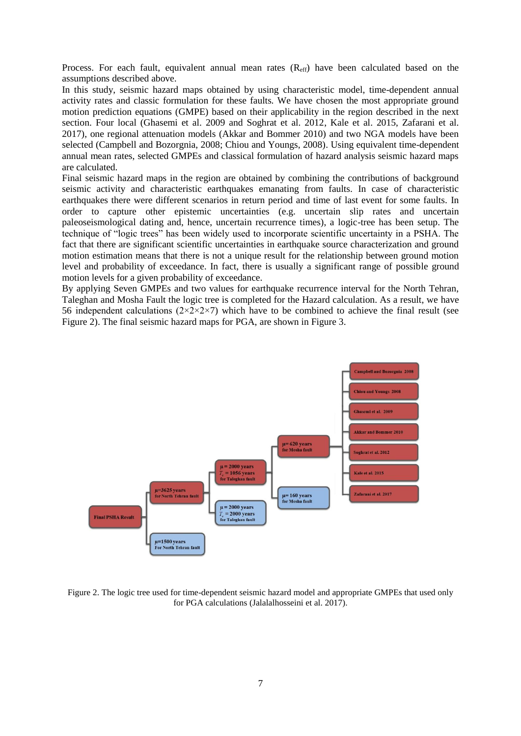Process. For each fault, equivalent annual mean rates  $(R_{\text{eff}})$  have been calculated based on the assumptions described above.

In this study, seismic hazard maps obtained by using characteristic model, time-dependent annual activity rates and classic formulation for these faults. We have chosen the most appropriate ground motion prediction equations (GMPE) based on their applicability in the region described in the next section. Four local (Ghasemi et al. 2009 and Soghrat et al. 2012, Kale et al. 2015, Zafarani et al. 2017), one regional attenuation models (Akkar and Bommer 2010) and two NGA models have been selected (Campbell and Bozorgnia, 2008; Chiou and Youngs, 2008). Using equivalent time-dependent annual mean rates, selected GMPEs and classical formulation of hazard analysis seismic hazard maps are calculated.

Final seismic hazard maps in the region are obtained by combining the contributions of background seismic activity and characteristic earthquakes emanating from faults. In case of characteristic earthquakes there were different scenarios in return period and time of last event for some faults. In order to capture other epistemic uncertainties (e.g. uncertain slip rates and uncertain paleoseismological dating and, hence, uncertain recurrence times), a logic-tree has been setup. The technique of "logic trees" has been widely used to incorporate scientific uncertainty in a PSHA. The fact that there are significant scientific uncertainties in earthquake source characterization and ground motion estimation means that there is not a unique result for the relationship between ground motion level and probability of exceedance. In fact, there is usually a significant range of possible ground motion levels for a given probability of exceedance.

By applying Seven GMPEs and two values for earthquake recurrence interval for the North Tehran, Taleghan and Mosha Fault the logic tree is completed for the Hazard calculation. As a result, we have 56 independent calculations  $(2\times2\times2\times7)$  which have to be combined to achieve the final result (see Figure 2). The final seismic hazard maps for PGA, are shown in Figure 3.



Figure 2. The logic tree used for time-dependent seismic hazard model and appropriate GMPEs that used only for PGA calculations (Jalalalhosseini et al. 2017).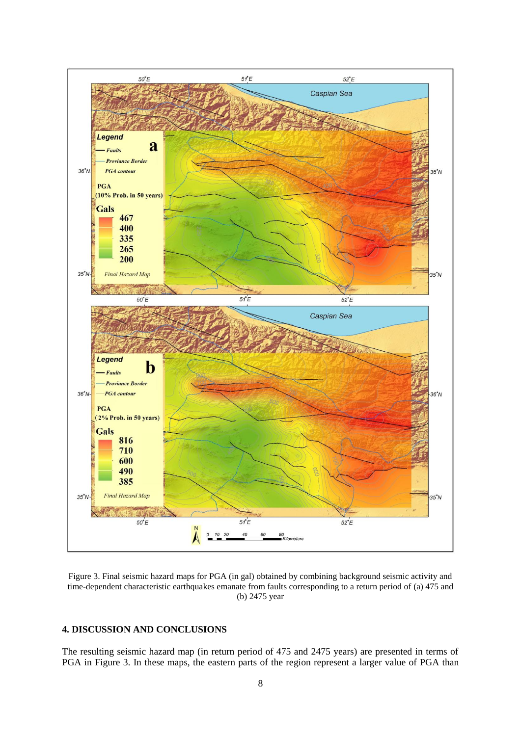

Figure 3. Final seismic hazard maps for PGA (in gal) obtained by combining background seismic activity and time-dependent characteristic earthquakes emanate from faults corresponding to a return period of (a) 475 and (b) 2475 year

# **4. DISCUSSION AND CONCLUSIONS**

The resulting seismic hazard map (in return period of 475 and 2475 years) are presented in terms of PGA in Figure 3. In these maps, the eastern parts of the region represent a larger value of PGA than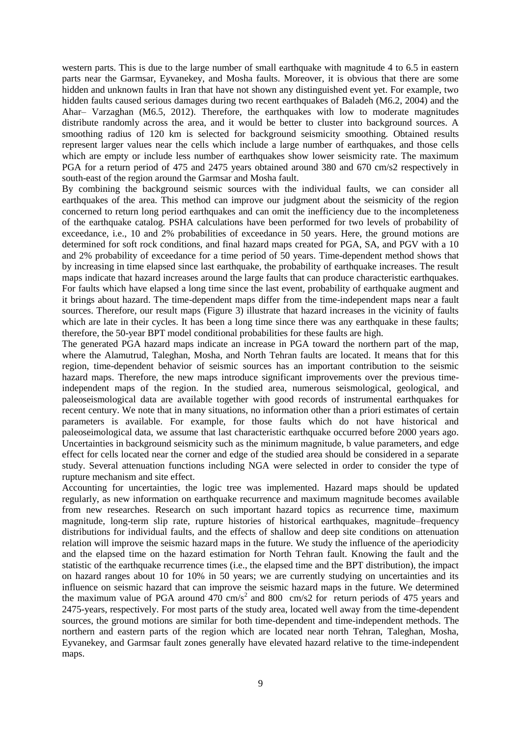western parts. This is due to the large number of small earthquake with magnitude 4 to 6.5 in eastern parts near the Garmsar, Eyvanekey, and Mosha faults. Moreover, it is obvious that there are some hidden and unknown faults in Iran that have not shown any distinguished event yet. For example, two hidden faults caused serious damages during two recent earthquakes of Baladeh (M6.2, 2004) and the Ahar– Varzaghan (M6.5, 2012). Therefore, the earthquakes with low to moderate magnitudes distribute randomly across the area, and it would be better to cluster into background sources. A smoothing radius of 120 km is selected for background seismicity smoothing. Obtained results represent larger values near the cells which include a large number of earthquakes, and those cells which are empty or include less number of earthquakes show lower seismicity rate. The maximum PGA for a return period of 475 and 2475 years obtained around 380 and 670 cm/s2 respectively in south-east of the region around the Garmsar and Mosha fault.

By combining the background seismic sources with the individual faults, we can consider all earthquakes of the area. This method can improve our judgment about the seismicity of the region concerned to return long period earthquakes and can omit the inefficiency due to the incompleteness of the earthquake catalog. PSHA calculations have been performed for two levels of probability of exceedance, i.e., 10 and 2% probabilities of exceedance in 50 years. Here, the ground motions are determined for soft rock conditions, and final hazard maps created for PGA, SA, and PGV with a 10 and 2% probability of exceedance for a time period of 50 years. Time-dependent method shows that by increasing in time elapsed since last earthquake, the probability of earthquake increases. The result maps indicate that hazard increases around the large faults that can produce characteristic earthquakes. For faults which have elapsed a long time since the last event, probability of earthquake augment and it brings about hazard. The time-dependent maps differ from the time-independent maps near a fault sources. Therefore, our result maps (Figure 3) illustrate that hazard increases in the vicinity of faults which are late in their cycles. It has been a long time since there was any earthquake in these faults; therefore, the 50-year BPT model conditional probabilities for these faults are high.

The generated PGA hazard maps indicate an increase in PGA toward the northern part of the map, where the Alamutrud, Taleghan, Mosha, and North Tehran faults are located. It means that for this region, time-dependent behavior of seismic sources has an important contribution to the seismic hazard maps. Therefore, the new maps introduce significant improvements over the previous timeindependent maps of the region. In the studied area, numerous seismological, geological, and paleoseismological data are available together with good records of instrumental earthquakes for recent century. We note that in many situations, no information other than a priori estimates of certain parameters is available. For example, for those faults which do not have historical and paleoseimological data, we assume that last characteristic earthquake occurred before 2000 years ago. Uncertainties in background seismicity such as the minimum magnitude, b value parameters, and edge effect for cells located near the corner and edge of the studied area should be considered in a separate study. Several attenuation functions including NGA were selected in order to consider the type of rupture mechanism and site effect.

Accounting for uncertainties, the logic tree was implemented. Hazard maps should be updated regularly, as new information on earthquake recurrence and maximum magnitude becomes available from new researches. Research on such important hazard topics as recurrence time, maximum magnitude, long-term slip rate, rupture histories of historical earthquakes, magnitude–frequency distributions for individual faults, and the effects of shallow and deep site conditions on attenuation relation will improve the seismic hazard maps in the future. We study the influence of the aperiodicity and the elapsed time on the hazard estimation for North Tehran fault. Knowing the fault and the statistic of the earthquake recurrence times (i.e., the elapsed time and the BPT distribution), the impact on hazard ranges about 10 for 10% in 50 years; we are currently studying on uncertainties and its influence on seismic hazard that can improve the seismic hazard maps in the future. We determined the maximum value of PGA around  $470 \text{ cm/s}^2$  and  $800 \text{ cm/s}^2$  for return periods of 475 years and 2475-years, respectively. For most parts of the study area, located well away from the time-dependent sources, the ground motions are similar for both time-dependent and time-independent methods. The northern and eastern parts of the region which are located near north Tehran, Taleghan, Mosha, Eyvanekey, and Garmsar fault zones generally have elevated hazard relative to the time-independent maps.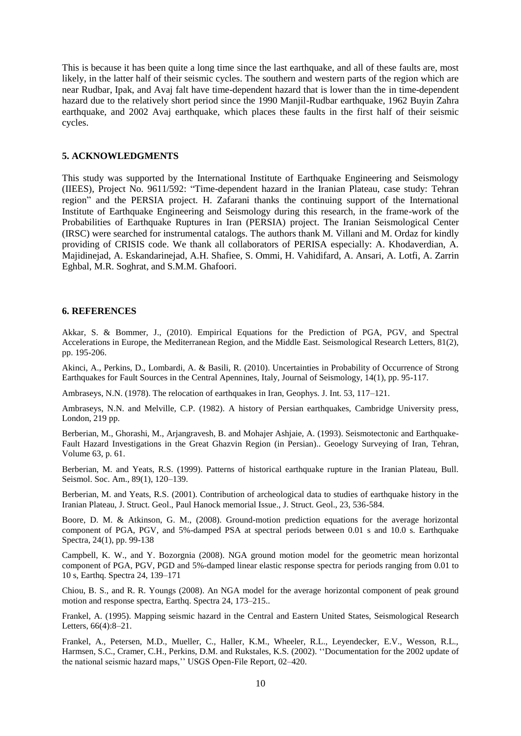This is because it has been quite a long time since the last earthquake, and all of these faults are, most likely, in the latter half of their seismic cycles. The southern and western parts of the region which are near Rudbar, Ipak, and Avaj falt have time-dependent hazard that is lower than the in time-dependent hazard due to the relatively short period since the 1990 Manjil-Rudbar earthquake, 1962 Buyin Zahra earthquake, and 2002 Avaj earthquake, which places these faults in the first half of their seismic cycles.

#### **5. ACKNOWLEDGMENTS**

This study was supported by the International Institute of Earthquake Engineering and Seismology (IIEES), Project No. 9611/592: "Time-dependent hazard in the Iranian Plateau, case study: Tehran region" and the PERSIA project. H. Zafarani thanks the continuing support of the International Institute of Earthquake Engineering and Seismology during this research, in the frame-work of the Probabilities of Earthquake Ruptures in Iran (PERSIA) project. The Iranian Seismological Center (IRSC) were searched for instrumental catalogs. The authors thank M. Villani and M. Ordaz for kindly providing of CRISIS code. We thank all collaborators of PERISA especially: A. Khodaverdian, A. Majidinejad, A. Eskandarinejad, A.H. Shafiee, S. Ommi, H. Vahidifard, A. Ansari, A. Lotfi, A. Zarrin Eghbal, M.R. Soghrat, and S.M.M. Ghafoori.

#### **6. REFERENCES**

Akkar, S. & Bommer, J., (2010). Empirical Equations for the Prediction of PGA, PGV, and Spectral Accelerations in Europe, the Mediterranean Region, and the Middle East. Seismological Research Letters, 81(2), pp. 195-206.

Akinci, A., Perkins, D., Lombardi, A. & Basili, R. (2010). Uncertainties in Probability of Occurrence of Strong Earthquakes for Fault Sources in the Central Apennines, Italy, Journal of Seismology, 14(1), pp. 95-117.

Ambraseys, N.N. (1978). The relocation of earthquakes in Iran, Geophys. J. Int. 53, 117–121.

Ambraseys, N.N. and Melville, C.P. (1982). A history of Persian earthquakes, Cambridge University press, London, 219 pp.

Berberian, M., Ghorashi, M., Arjangravesh, B. and Mohajer Ashjaie, A. (1993). Seismotectonic and Earthquake-Fault Hazard Investigations in the Great Ghazvin Region (in Persian).. Geoelogy Surveying of Iran, Tehran, Volume 63, p. 61.

Berberian, M. and Yeats, R.S. (1999). Patterns of historical earthquake rupture in the Iranian Plateau, Bull. Seismol. Soc. Am., 89(1), 120-139.

Berberian, M. and Yeats, R.S. (2001). Contribution of archeological data to studies of earthquake history in the Iranian Plateau, J. Struct. Geol., Paul Hanock memorial Issue., J. Struct. Geol., 23, 536-584.

Boore, D. M. & Atkinson, G. M., (2008). Ground-motion prediction equations for the average horizontal component of PGA, PGV, and 5%-damped PSA at spectral periods between 0.01 s and 10.0 s. Earthquake Spectra, 24(1), pp. 99-138

Campbell, K. W., and Y. Bozorgnia (2008). NGA ground motion model for the geometric mean horizontal component of PGA, PGV, PGD and 5%-damped linear elastic response spectra for periods ranging from 0.01 to 10 s, Earthq. Spectra 24, 139–171

Chiou, B. S., and R. R. Youngs (2008). An NGA model for the average horizontal component of peak ground motion and response spectra, Earthq. Spectra 24, 173–215..

Frankel, A. (1995). Mapping seismic hazard in the Central and Eastern United States, Seismological Research Letters, 66(4):8–21.

Frankel, A., Petersen, M.D., Mueller, C., Haller, K.M., Wheeler, R.L., Leyendecker, E.V., Wesson, R.L., Harmsen, S.C., Cramer, C.H., Perkins, D.M. and Rukstales, K.S. (2002). ''Documentation for the 2002 update of the national seismic hazard maps,'' USGS Open-File Report, 02–420.